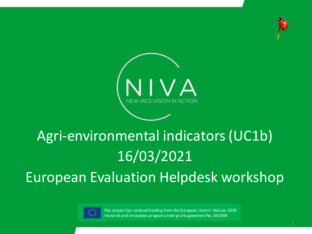



# Agri-environmental indicators (UC1b) 16/03/2021 European Evaluation Helpdesk workshop



This project has received funding from the European Union's Horizon 2020 research and innovation program under grant agreement No. 842009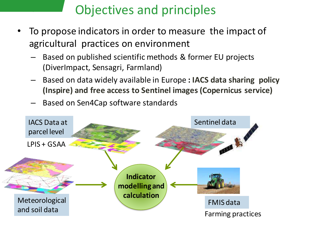# Objectives and principles

- To propose indicators in order to measure the impact of agricultural practices on environment
	- Based on published scientific methods & former EU projects (DiverImpact, Sensagri, Farmland)
	- Based on data widely available in Europe **: IACS data sharing policy (Inspire) and free access to Sentinel images (Copernicus service)**
	- Based on Sen4Cap software standards

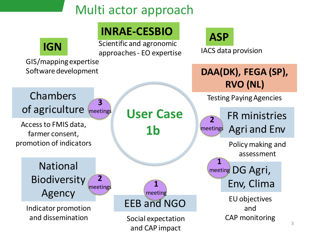# Multi actor approach

# **INRAE-CESBIO ASP**

Scientific and agronomic approaches - EO expertise

GIS/mapping expertise Software development

**IGN**

#### **Chambers** Testing Paying Agencies of agriculture **3** meetings

Access to FMIS data, farmer consent, promotion of indicators

> National Biodiversity Agency **2** meetings

Indicator promotion and dissemination

**User Case 1b**

EEB and NGO **1** meeting

Social expectation and CAP impact



FR ministries Agri and Env **2** meetings

> Policy making and assessment

DG Agri, Env, Clima **1** meeting

> EU objectives and CAP monitoring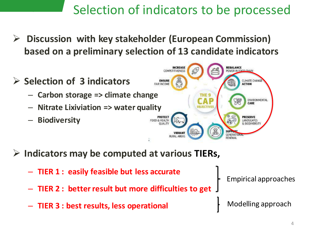# Selection of indicators to be processed

- ➢ **Discussion with key stakeholder (European Commission) based on a preliminary selection of 13 candidate indicators**
- **INCREASE** REBALANCE POWER IN FOOD CHAIN **COMPETITIVENESS** ➢ **Selection of 3 indicators** CLIMATE CHANGE **ACTION** – **Carbon storage => climate change** ENVIRONMENTAL CARE – **Nitrate Lixiviation => water quality** – **Biodiversity** ANDSCAPES **IBRANT GENERATIO**
- ➢ **Indicators may be computed at various TIERs,**
	- **TIER 1 : easily feasible but less accurate**
	- **TIER 2 : betterresult but more difficulties to get**
	- **TIER 3 : best results, less operational**

Empirical approaches

Modelling approach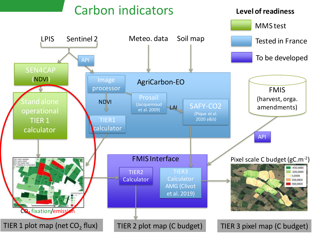# Carbon indicators

#### **Level of readiness**

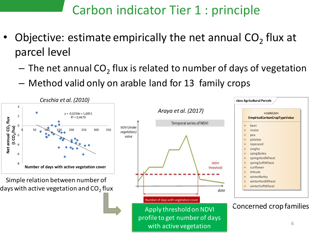# Carbon indicator Tier 1 : principle

- Objective: estimate empirically the net annual  $CO_2$  flux at parcel level
	- $-$  The net annual CO<sub>2</sub> flux is related to number of days of vegetation
	- Method valid only on arable land for 13 family crops

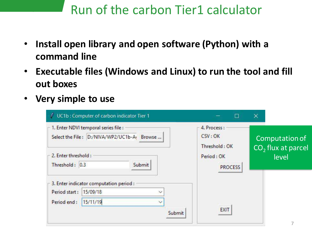### Run of the carbon Tier1 calculator

- **Install open library and open software (Python) with a command line**
- **Executable files (Windows and Linux) to run the tool and fill out boxes**
- **Very simple to use**

| H                                                                                   | UC1b: Computer of carbon indicator Tier 1 |              | $\Box$                                  | ×                                      |
|-------------------------------------------------------------------------------------|-------------------------------------------|--------------|-----------------------------------------|----------------------------------------|
| 1. Enter NDVI temporal series file :<br>Select the File: D:/NIVA/WP2/UC1b-Ai Browse |                                           |              | 4. Process:<br>CSV: OK<br>Threshold: OK | Computation of<br>$CO2$ flux at parcel |
| 2. Enter threshold:<br>Threshold: 0.3<br>Submit                                     |                                           |              | Period: OK<br><b>PROCESS</b>            | level                                  |
|                                                                                     | 3. Enter indicator computation period :   |              |                                         |                                        |
| Period start:                                                                       | 15/09/18                                  | $\checkmark$ |                                         |                                        |
| Period end:                                                                         | 15/11/19                                  | ×.           |                                         |                                        |
|                                                                                     |                                           | Submit       | <b>EXIT</b>                             |                                        |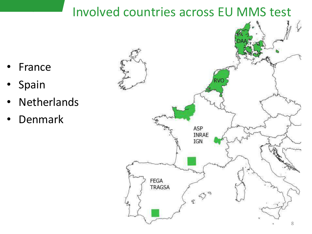#### Involved countries across EU MMS test

- **France**
- Spain
- **Netherlands**
- **Denmark**

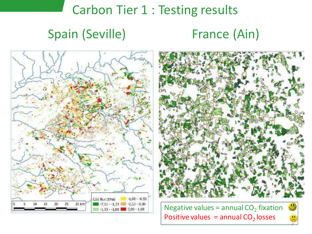# Carbon Tier 1 : Testing results

#### Spain (Seville)

### France (Ain)

<u>ज</u>

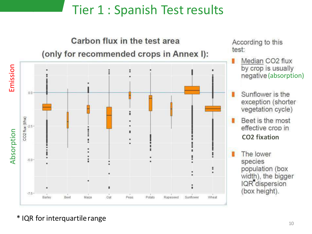# Tier 1 : Spanish Test results



\* IQR for interquartile range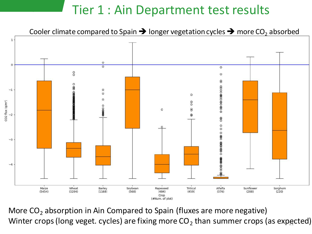#### Tier 1 : Ain Department test results



Winter crops (long veget. cycles) are fixing more CO<sub>2</sub> than summer crops (as exp<u>e</u>cted) More  $CO<sub>2</sub>$  absorption in Ain Compared to Spain (fluxes are more negative)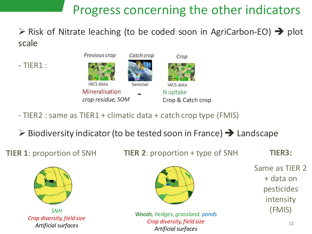# Progress concerning the other indicators

 $\triangleright$  Risk of Nitrate leaching (to be coded soon in AgriCarbon-EO)  $\rightarrow$  plot scale

- TIER1 :



- TIER2 : same as TIER1 + climatic data + catch crop type (FMIS)
- ➢ Biodiversity indicator(to be tested soon in France)➔ Landscape

**TIER 1**: proportion of SNH **TIER 2**: proportion + type of SNH

**TIER3:** 



*Crop diversity, field size Artificial surfaces*



*SNH* (FMIS) *Woods, hedges, grassland, ponds Crop diversity, field size Artificial surfaces*

Same as TIER 2 + data on pesticides intensity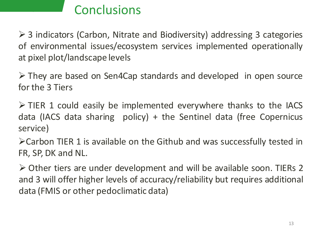# **Conclusions**

➢ 3 indicators (Carbon, Nitrate and Biodiversity) addressing 3 categories of environmental issues/ecosystem services implemented operationally at pixel plot/landscape levels

➢ They are based on Sen4Cap standards and developed in open source for the 3 Tiers

 $\triangleright$  TIER 1 could easily be implemented everywhere thanks to the IACS data (IACS data sharing policy) + the Sentinel data (free Copernicus service)

➢Carbon TIER 1 is available on the Github and was successfully tested in FR, SP, DK and NL.

➢ Other tiers are under development and will be available soon. TIERs 2 and 3 will offer higher levels of accuracy/reliability but requires additional data (FMIS or other pedoclimatic data)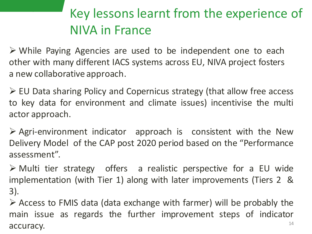# Key lessons learnt from the experience of NIVA in France

➢ While Paying Agencies are used to be independent one to each other with many different IACS systems across EU, NIVA project fosters a new collaborative approach.

➢ EU Data sharing Policy and Copernicus strategy (that allow free access to key data for environment and climate issues) incentivise the multi actor approach.

➢ Agri-environment indicator approach is consistent with the New Delivery Model of the CAP post 2020 period based on the "Performance assessment".

➢ Multi tier strategy offers a realistic perspective for a EU wide implementation (with Tier 1) along with later improvements (Tiers 2 & 3).

14 ➢ Access to FMIS data (data exchange with farmer) will be probably the main issue as regards the further improvement steps of indicator accuracy.